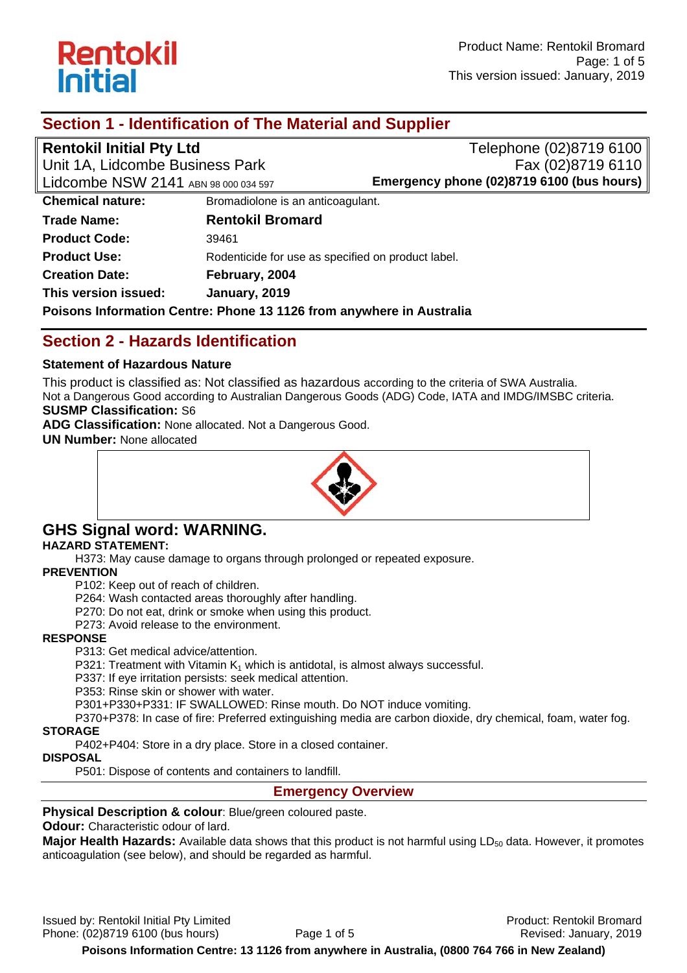

# **Section 1 - Identification of The Material and Supplier**

| <b>Rentokil Initial Pty Ltd</b>                                      |                                                    | Telephone (02)8719 6100                   |  |  |
|----------------------------------------------------------------------|----------------------------------------------------|-------------------------------------------|--|--|
| Unit 1A, Lidcombe Business Park                                      |                                                    | Fax (02)8719 6110                         |  |  |
| Lidcombe NSW 2141 ABN 98 000 034 597                                 |                                                    | Emergency phone (02)8719 6100 (bus hours) |  |  |
| <b>Chemical nature:</b>                                              | Bromadiolone is an anticoagulant.                  |                                           |  |  |
| <b>Trade Name:</b>                                                   | <b>Rentokil Bromard</b>                            |                                           |  |  |
| <b>Product Code:</b>                                                 | 39461                                              |                                           |  |  |
| <b>Product Use:</b>                                                  | Rodenticide for use as specified on product label. |                                           |  |  |
| <b>Creation Date:</b>                                                | February, 2004                                     |                                           |  |  |
| This version issued:                                                 | January, 2019                                      |                                           |  |  |
| Poisons Information Centre: Phone 13 1126 from anywhere in Australia |                                                    |                                           |  |  |

# **Section 2 - Hazards Identification**

#### **Statement of Hazardous Nature**

This product is classified as: Not classified as hazardous according to the criteria of SWA Australia. Not a Dangerous Good according to Australian Dangerous Goods (ADG) Code, IATA and IMDG/IMSBC criteria.

#### **SUSMP Classification:** S6

**ADG Classification:** None allocated. Not a Dangerous Good.

**UN Number:** None allocated



# **GHS Signal word: WARNING.**

#### **HAZARD STATEMENT:**

H373: May cause damage to organs through prolonged or repeated exposure.

#### **PREVENTION**

P102: Keep out of reach of children.

P264: Wash contacted areas thoroughly after handling.

P270: Do not eat, drink or smoke when using this product.

P273: Avoid release to the environment.

#### **RESPONSE**

P313: Get medical advice/attention.

P321: Treatment with Vitamin  $K_1$  which is antidotal, is almost always successful.

P337: If eye irritation persists: seek medical attention.

P353: Rinse skin or shower with water.

P301+P330+P331: IF SWALLOWED: Rinse mouth. Do NOT induce vomiting.

P370+P378: In case of fire: Preferred extinguishing media are carbon dioxide, dry chemical, foam, water fog. **STORAGE** 

P402+P404: Store in a dry place. Store in a closed container.

### **DISPOSAL**

P501: Dispose of contents and containers to landfill.

#### **Emergency Overview**

**Physical Description & colour**: Blue/green coloured paste.

#### **Odour:** Characteristic odour of lard.

Major Health Hazards: Available data shows that this product is not harmful using LD<sub>50</sub> data. However, it promotes anticoagulation (see below), and should be regarded as harmful.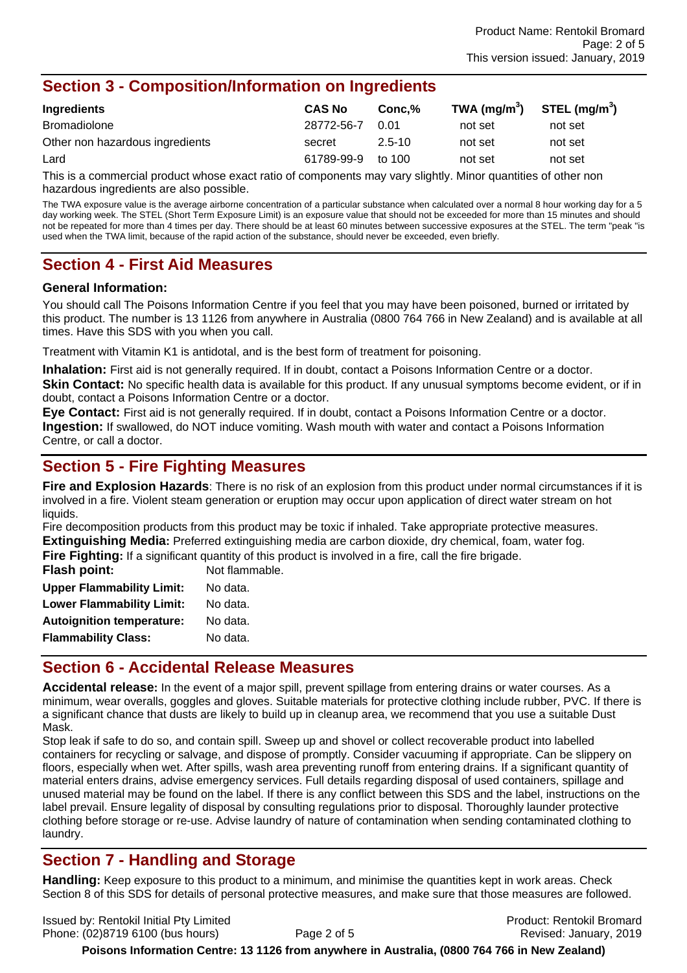# **Section 3 - Composition/Information on Ingredients**

| Ingredients                     | <b>CAS No</b> | Conc.%     | TWA (mg/m <sup>3</sup> ) | STEL (mg/m <sup>3</sup> ) |
|---------------------------------|---------------|------------|--------------------------|---------------------------|
| Bromadiolone                    | 28772-56-7    | 0.01       | not set                  | not set                   |
| Other non hazardous ingredients | secret        | $2.5 - 10$ | not set                  | not set                   |
| Lard                            | 61789-99-9    | to 100     | not set                  | not set                   |

This is a commercial product whose exact ratio of components may vary slightly. Minor quantities of other non hazardous ingredients are also possible.

The TWA exposure value is the average airborne concentration of a particular substance when calculated over a normal 8 hour working day for a 5 day working week. The STEL (Short Term Exposure Limit) is an exposure value that should not be exceeded for more than 15 minutes and should not be repeated for more than 4 times per day. There should be at least 60 minutes between successive exposures at the STEL. The term "peak "is used when the TWA limit, because of the rapid action of the substance, should never be exceeded, even briefly.

# **Section 4 - First Aid Measures**

#### **General Information:**

You should call The Poisons Information Centre if you feel that you may have been poisoned, burned or irritated by this product. The number is 13 1126 from anywhere in Australia (0800 764 766 in New Zealand) and is available at all times. Have this SDS with you when you call.

Treatment with Vitamin K1 is antidotal, and is the best form of treatment for poisoning.

**Inhalation:** First aid is not generally required. If in doubt, contact a Poisons Information Centre or a doctor. **Skin Contact:** No specific health data is available for this product. If any unusual symptoms become evident, or if in doubt, contact a Poisons Information Centre or a doctor.

**Eye Contact:** First aid is not generally required. If in doubt, contact a Poisons Information Centre or a doctor. **Ingestion:** If swallowed, do NOT induce vomiting. Wash mouth with water and contact a Poisons Information Centre, or call a doctor.

# **Section 5 - Fire Fighting Measures**

**Fire and Explosion Hazards**: There is no risk of an explosion from this product under normal circumstances if it is involved in a fire. Violent steam generation or eruption may occur upon application of direct water stream on hot liquids.

Fire decomposition products from this product may be toxic if inhaled. Take appropriate protective measures. **Extinguishing Media:** Preferred extinguishing media are carbon dioxide, dry chemical, foam, water fog.

**Fire Fighting:** If a significant quantity of this product is involved in a fire, call the fire brigade. **Flash point:** Not flammable. **Upper Flammability Limit:** No data. Lower Flammability Limit: No data. **Autoignition temperature:** No data.

# **Flammability Class:** No data.

**Section 6 - Accidental Release Measures Accidental release:** In the event of a major spill, prevent spillage from entering drains or water courses. As a minimum, wear overalls, goggles and gloves. Suitable materials for protective clothing include rubber, PVC. If there is

a significant chance that dusts are likely to build up in cleanup area, we recommend that you use a suitable Dust Mask.

Stop leak if safe to do so, and contain spill. Sweep up and shovel or collect recoverable product into labelled containers for recycling or salvage, and dispose of promptly. Consider vacuuming if appropriate. Can be slippery on floors, especially when wet. After spills, wash area preventing runoff from entering drains. If a significant quantity of material enters drains, advise emergency services. Full details regarding disposal of used containers, spillage and unused material may be found on the label. If there is any conflict between this SDS and the label, instructions on the label prevail. Ensure legality of disposal by consulting regulations prior to disposal. Thoroughly launder protective clothing before storage or re-use. Advise laundry of nature of contamination when sending contaminated clothing to laundry.

# **Section 7 - Handling and Storage**

**Handling:** Keep exposure to this product to a minimum, and minimise the quantities kept in work areas. Check Section 8 of this SDS for details of personal protective measures, and make sure that those measures are followed.

Issued by: Rentokil Initial Pty Limited Product: Rentokil Bromard Phone: (02)8719 6100 (bus hours) Page 2 of 5 Revised: January, 2019

**Poisons Information Centre: 13 1126 from anywhere in Australia, (0800 764 766 in New Zealand)**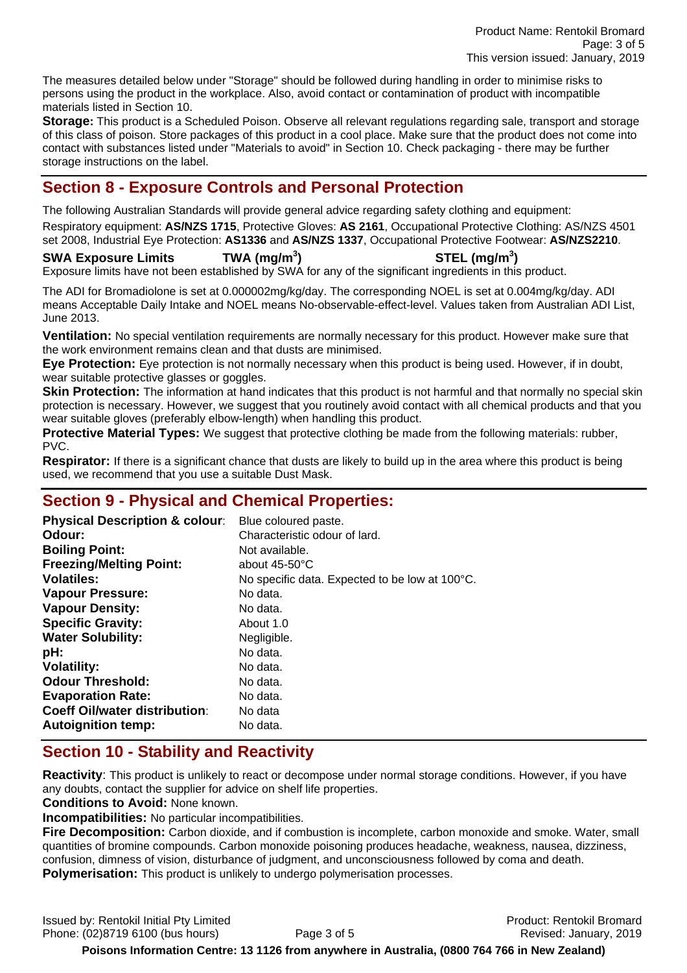The measures detailed below under "Storage" should be followed during handling in order to minimise risks to persons using the product in the workplace. Also, avoid contact or contamination of product with incompatible materials listed in Section 10.

**Storage:** This product is a Scheduled Poison. Observe all relevant regulations regarding sale, transport and storage of this class of poison. Store packages of this product in a cool place. Make sure that the product does not come into contact with substances listed under "Materials to avoid" in Section 10. Check packaging - there may be further storage instructions on the label.

# **Section 8 - Exposure Controls and Personal Protection**

The following Australian Standards will provide general advice regarding safety clothing and equipment:

Respiratory equipment: **AS/NZS 1715**, Protective Gloves: **AS 2161**, Occupational Protective Clothing: AS/NZS 4501 set 2008, Industrial Eye Protection: **AS1336** and **AS/NZS 1337**, Occupational Protective Footwear: **AS/NZS2210**.

#### **SWA Exposure Limits TWA (mg/m<sup>3</sup>**

**) STEL (mg/m<sup>3</sup> )**  Exposure limits have not been established by SWA for any of the significant ingredients in this product.

The ADI for Bromadiolone is set at 0.000002mg/kg/day. The corresponding NOEL is set at 0.004mg/kg/day. ADI means Acceptable Daily Intake and NOEL means No-observable-effect-level. Values taken from Australian ADI List, June 2013.

**Ventilation:** No special ventilation requirements are normally necessary for this product. However make sure that the work environment remains clean and that dusts are minimised.

**Eye Protection:** Eye protection is not normally necessary when this product is being used. However, if in doubt, wear suitable protective glasses or goggles.

**Skin Protection:** The information at hand indicates that this product is not harmful and that normally no special skin protection is necessary. However, we suggest that you routinely avoid contact with all chemical products and that you wear suitable gloves (preferably elbow-length) when handling this product.

**Protective Material Types:** We suggest that protective clothing be made from the following materials: rubber, PVC.

**Respirator:** If there is a significant chance that dusts are likely to build up in the area where this product is being used, we recommend that you use a suitable Dust Mask.

# **Section 9 - Physical and Chemical Properties:**

| Blue coloured paste.                           |
|------------------------------------------------|
| Characteristic odour of lard.                  |
| Not available.                                 |
| about $45-50^{\circ}$ C                        |
| No specific data. Expected to be low at 100°C. |
| No data.                                       |
| No data.                                       |
| About 1.0                                      |
| Negligible.                                    |
| No data.                                       |
| No data.                                       |
| No data.                                       |
| No data.                                       |
| No data                                        |
| No data.                                       |
|                                                |

# **Section 10 - Stability and Reactivity**

**Reactivity**: This product is unlikely to react or decompose under normal storage conditions. However, if you have any doubts, contact the supplier for advice on shelf life properties.

**Conditions to Avoid:** None known.

**Incompatibilities:** No particular incompatibilities.

**Fire Decomposition:** Carbon dioxide, and if combustion is incomplete, carbon monoxide and smoke. Water, small quantities of bromine compounds. Carbon monoxide poisoning produces headache, weakness, nausea, dizziness, confusion, dimness of vision, disturbance of judgment, and unconsciousness followed by coma and death. **Polymerisation:** This product is unlikely to undergo polymerisation processes.

Issued by: Rentokil Initial Pty Limited Product: Rentokil Bromard Phone: (02)8719 6100 (bus hours) Page 3 of 5 Revised: January, 2019

**Poisons Information Centre: 13 1126 from anywhere in Australia, (0800 764 766 in New Zealand)**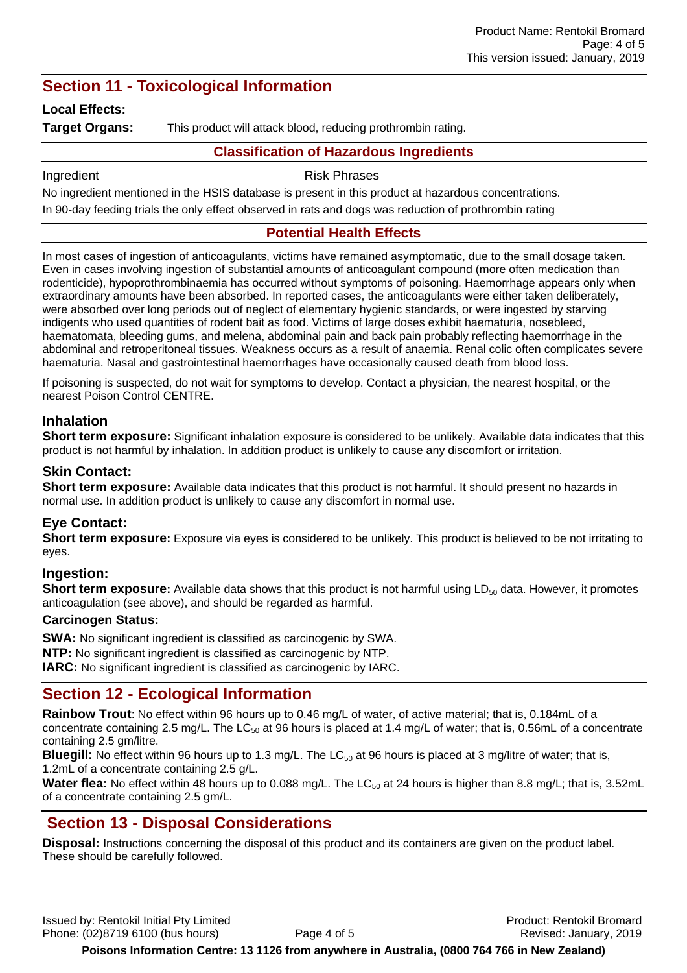# **Section 11 - Toxicological Information**

#### **Local Effects:**

**Target Organs:** This product will attack blood, reducing prothrombin rating.

#### **Classification of Hazardous Ingredients**

Ingredient **Risk Phrases** 

No ingredient mentioned in the HSIS database is present in this product at hazardous concentrations.

In 90-day feeding trials the only effect observed in rats and dogs was reduction of prothrombin rating

#### **Potential Health Effects**

In most cases of ingestion of anticoagulants, victims have remained asymptomatic, due to the small dosage taken. Even in cases involving ingestion of substantial amounts of anticoagulant compound (more often medication than rodenticide), hypoprothrombinaemia has occurred without symptoms of poisoning. Haemorrhage appears only when extraordinary amounts have been absorbed. In reported cases, the anticoagulants were either taken deliberately, were absorbed over long periods out of neglect of elementary hygienic standards, or were ingested by starving indigents who used quantities of rodent bait as food. Victims of large doses exhibit haematuria, nosebleed, haematomata, bleeding gums, and melena, abdominal pain and back pain probably reflecting haemorrhage in the abdominal and retroperitoneal tissues. Weakness occurs as a result of anaemia. Renal colic often complicates severe haematuria. Nasal and gastrointestinal haemorrhages have occasionally caused death from blood loss.

If poisoning is suspected, do not wait for symptoms to develop. Contact a physician, the nearest hospital, or the nearest Poison Control CENTRE.

#### **Inhalation**

**Short term exposure:** Significant inhalation exposure is considered to be unlikely. Available data indicates that this product is not harmful by inhalation. In addition product is unlikely to cause any discomfort or irritation.

#### **Skin Contact:**

**Short term exposure:** Available data indicates that this product is not harmful. It should present no hazards in normal use. In addition product is unlikely to cause any discomfort in normal use.

#### **Eye Contact:**

**Short term exposure:** Exposure via eyes is considered to be unlikely. This product is believed to be not irritating to eyes.

#### **Ingestion:**

**Short term exposure:** Available data shows that this product is not harmful using LD<sub>50</sub> data. However, it promotes anticoagulation (see above), and should be regarded as harmful.

#### **Carcinogen Status:**

**SWA:** No significant ingredient is classified as carcinogenic by SWA. **NTP:** No significant ingredient is classified as carcinogenic by NTP. **IARC:** No significant ingredient is classified as carcinogenic by IARC.

# **Section 12 - Ecological Information**

**Rainbow Trout**: No effect within 96 hours up to 0.46 mg/L of water, of active material; that is, 0.184mL of a concentrate containing 2.5 mg/L. The  $LC_{50}$  at 96 hours is placed at 1.4 mg/L of water; that is, 0.56mL of a concentrate containing 2.5 gm/litre.

**Bluegill:** No effect within 96 hours up to 1.3 mg/L. The  $LC_{50}$  at 96 hours is placed at 3 mg/litre of water; that is, 1.2mL of a concentrate containing 2.5 g/L.

**Water flea:** No effect within 48 hours up to 0.088 mg/L. The LC<sub>50</sub> at 24 hours is higher than 8.8 mg/L; that is, 3.52mL of a concentrate containing 2.5 gm/L.

# **Section 13 - Disposal Considerations**

**Disposal:** Instructions concerning the disposal of this product and its containers are given on the product label. These should be carefully followed.

Issued by: Rentokil Initial Pty Limited Product: Rentokil Bromard Phone: (02)8719 6100 (bus hours) Page 4 of 5 Revised: January, 2019

**Poisons Information Centre: 13 1126 from anywhere in Australia, (0800 764 766 in New Zealand)**